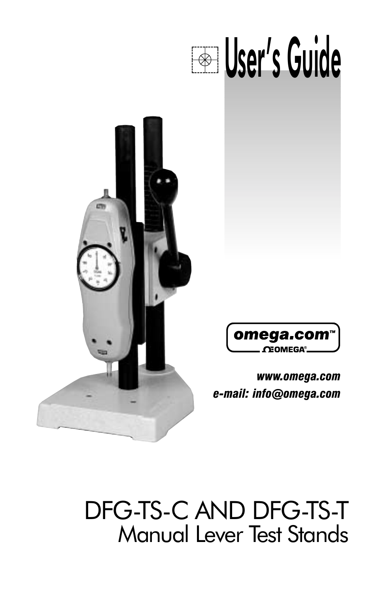# **Example 15 User's Guide**





*www.omega.com e-mail: info@omega.com*

# DFG-TS-C AND DFG-TS-T Manual Lever Test Stands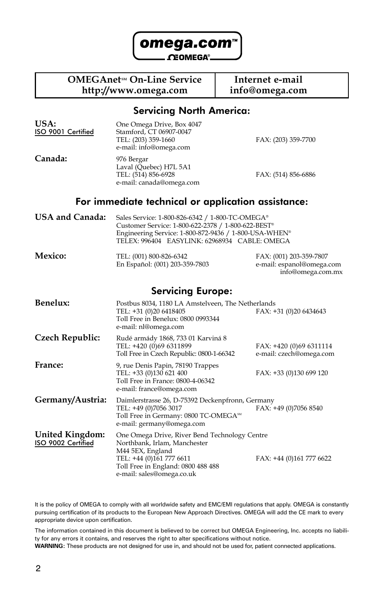

#### **OMEGAnet<sup>sM</sup> On-Line Service** Internet e-mail<br>http://www.omega.com info@omega.com **http://www.omega.com info@omega.com**

#### Servicing North America:

| USA:<br>ISO 9001 Certified            | One Omega Drive, Box 4047<br>Stamford, CT 06907-0047<br>TEL: (203) 359-1660<br>e-mail: info@omega.com                                                                                                           | FAX: (203) 359-7700                                                       |
|---------------------------------------|-----------------------------------------------------------------------------------------------------------------------------------------------------------------------------------------------------------------|---------------------------------------------------------------------------|
| Canada:                               | 976 Bergar<br>Laval (Quebec) H7L 5A1<br>TEL: (514) 856-6928<br>e-mail: canada@omega.com                                                                                                                         | FAX: (514) 856-6886                                                       |
|                                       | For immediate technical or application assistance:                                                                                                                                                              |                                                                           |
| <b>USA and Canada:</b>                | Sales Service: 1-800-826-6342 / 1-800-TC-OMEGA®<br>Customer Service: 1-800-622-2378 / 1-800-622-BEST®<br>Engineering Service: 1-800-872-9436 / 1-800-USA-WHEN®<br>TELEX: 996404 EASYLINK: 62968934 CABLE: OMEGA |                                                                           |
| Mexico:                               | TEL: (001) 800-826-6342<br>En Español: (001) 203-359-7803                                                                                                                                                       | FAX: (001) 203-359-7807<br>e-mail: espanol@omega.com<br>info@omega.com.mx |
|                                       | <b>Servicing Europe:</b>                                                                                                                                                                                        |                                                                           |
| <b>Benelux:</b>                       | Postbus 8034, 1180 LA Amstelveen, The Netherlands<br>TEL: +31 (0)20 6418405<br>Toll Free in Benelux: 0800 0993344<br>e-mail: nl@omega.com                                                                       | FAX: +31 (0)20 6434643                                                    |
| Czech Republic:                       | Rudé armády 1868, 733 01 Karviná 8<br>TEL: +420 (0)69 6311899<br>Toll Free in Czech Republic: 0800-1-66342                                                                                                      | FAX: +420 (0)69 6311114<br>e-mail: czech@omega.com                        |
| France:                               | 9, rue Denis Papin, 78190 Trappes<br>TEL: +33 (0)130 621 400<br>Toll Free in France: 0800-4-06342<br>e-mail: france@omega.com                                                                                   | FAX: +33 (0)130 699 120                                                   |
| Germany/Austria:                      | Daimlerstrasse 26, D-75392 Deckenpfronn, Germany<br>TEL: +49 (0)7056 3017<br>Toll Free in Germany: 0800 TC-OMEGA <sup>SM</sup><br>e-mail: germany@omega.com                                                     | FAX: +49 (0)7056 8540                                                     |
| United Kingdom:<br>ISO 9002 Certified | One Omega Drive, River Bend Technology Centre<br>Northbank, Irlam, Manchester<br>M44 5EX, England<br>TEL: +44 (0)161 777 6611<br>Toll Free in England: 0800 488 488<br>e-mail: sales@omega.co.uk                | FAX: +44 (0)161 777 6622                                                  |

It is the policy of OMEGA to comply with all worldwide safety and EMC/EMI regulations that apply. OMEGA is constantly pursuing certification of its products to the European New Approach Directives. OMEGA will add the CE mark to every appropriate device upon certification.

The information contained in this document is believed to be correct but OMEGA Engineering, Inc. accepts no liability for any errors it contains, and reserves the right to alter specifications without notice. **WARNING:** These products are not designed for use in, and should not be used for, patient connected applications.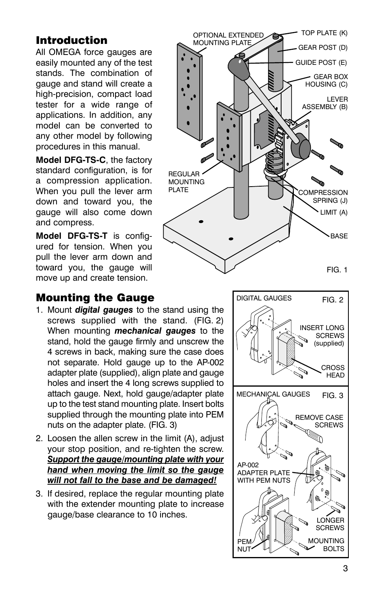## Introduction

All OMEGA force gauges are easily mounted any of the test stands. The combination of gauge and stand will create a high-precision, compact load tester for a wide range of applications. In addition, any model can be converted to any other model by following procedures in this manual.

**Model DFG-TS-C**, the factory standard configuration, is for a compression application. When you pull the lever arm down and toward you, the gauge will also come down and compress.

**Model DFG-TS-T** is configured for tension. When you pull the lever arm down and toward you, the gauge will move up and create tension.



#### Mounting the Gauge

- 1. Mount *digital gauges* to the stand using the screws supplied with the stand. (FIG. 2) When mounting *mechanical gauges* to the stand, hold the gauge firmly and unscrew the 4 screws in back, making sure the case does not separate. Hold gauge up to the AP-002 adapter plate (supplied), align plate and gauge holes and insert the 4 long screws supplied to attach gauge. Next, hold gauge/adapter plate up to the test stand mounting plate. Insert bolts supplied through the mounting plate into PEM nuts on the adapter plate. (FIG. 3)
- 2. Loosen the allen screw in the limit (A), adjust your stop position, and re-tighten the screw. *Support the gauge/mounting plate with your hand when moving the limit so the gauge will not fall to the base and be damaged!*
- 3. If desired, replace the regular mounting plate with the extender mounting plate to increase gauge/base clearance to 10 inches.

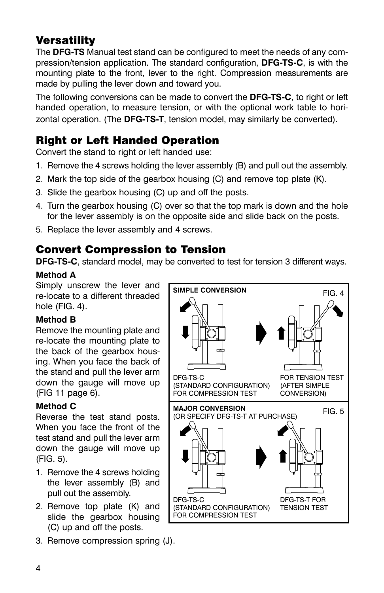# **Versatility**

The **DFG-TS** Manual test stand can be configured to meet the needs of any compression/tension application. The standard configuration, **DFG-TS-C**, is with the mounting plate to the front, lever to the right. Compression measurements are made by pulling the lever down and toward you.

The following conversions can be made to convert the **DFG-TS-C**, to right or left handed operation, to measure tension, or with the optional work table to horizontal operation. (The **DFG-TS-T**, tension model, may similarly be converted).

### Right or Left Handed Operation

Convert the stand to right or left handed use:

- 1. Remove the 4 screws holding the lever assembly (B) and pull out the assembly.
- 2. Mark the top side of the gearbox housing (C) and remove top plate (K).
- 3. Slide the gearbox housing (C) up and off the posts.
- 4. Turn the gearbox housing (C) over so that the top mark is down and the hole for the lever assembly is on the opposite side and slide back on the posts.
- 5. Replace the lever assembly and 4 screws.

#### Convert Compression to Tension

**DFG-TS-C**, standard model, may be converted to test for tension 3 different ways.

#### **Method A**

Simply unscrew the lever and re-locate to a different threaded hole (FIG. 4).

#### **Method B**

Remove the mounting plate and re-locate the mounting plate to the back of the gearbox housing. When you face the back of the stand and pull the lever arm down the gauge will move up (FIG 11 page 6).

#### **Method C**

Reverse the test stand posts. When you face the front of the test stand and pull the lever arm down the gauge will move up (FIG. 5).

- 1. Remove the 4 screws holding the lever assembly (B) and pull out the assembly.
- 2. Remove top plate (K) and slide the gearbox housing (C) up and off the posts.
- 3. Remove compression spring (J).

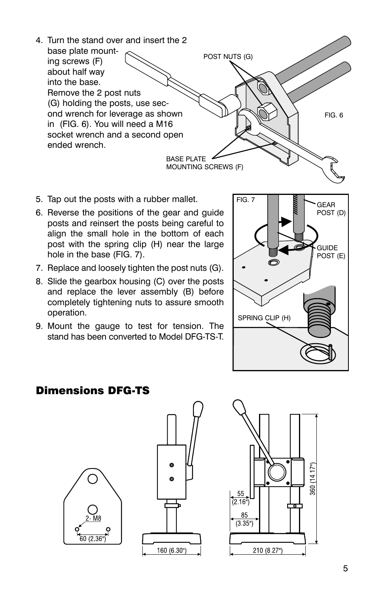

- 5. Tap out the posts with a rubber mallet.
- 6. Reverse the positions of the gear and guide posts and reinsert the posts being careful to align the small hole in the bottom of each post with the spring clip (H) near the large hole in the base (FIG. 7).
- 7. Replace and loosely tighten the post nuts (G).
- 8. Slide the gearbox housing (C) over the posts and replace the lever assembly (B) before completely tightening nuts to assure smooth operation.
- 9. Mount the gauge to test for tension. The stand has been converted to Model DFG-TS-T.



#### Dimensions DFG-TS





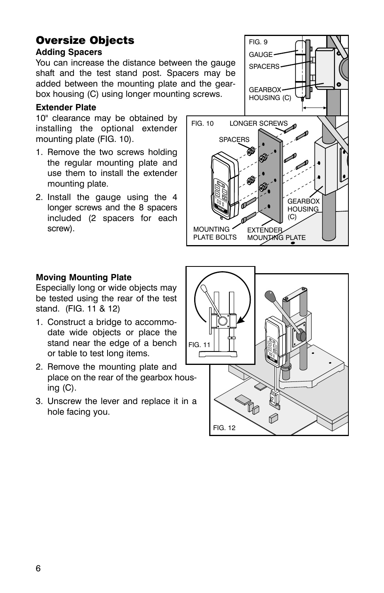# Oversize Objects

#### **Adding Spacers**

You can increase the distance between the gauge shaft and the test stand post. Spacers may be added between the mounting plate and the gearbox housing (C) using longer mounting screws.

#### **Extender Plate**

10" clearance may be obtained by installing the optional extender mounting plate (FIG. 10).

- 1. Remove the two screws holding the regular mounting plate and use them to install the extender mounting plate.
- 2. Install the gauge using the 4 longer screws and the 8 spacers included (2 spacers for each screw).



#### **Moving Mounting Plate**

Especially long or wide objects may be tested using the rear of the test stand. (FIG. 11 & 12)

- 1. Construct a bridge to accommodate wide objects or place the stand near the edge of a bench or table to test long items.
- 2. Remove the mounting plate and place on the rear of the gearbox housing  $(C)$ .
- 3. Unscrew the lever and replace it in a hole facing you.

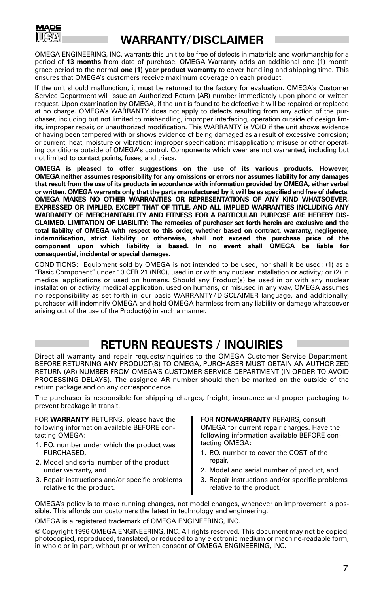

# **WARRANTY/DISCLAIMER**

OMEGA ENGINEERING, INC. warrants this unit to be free of defects in materials and workmanship for a period of **13 months** from date of purchase. OMEGA Warranty adds an additional one (1) month grace period to the normal **one (1) year product warranty** to cover handling and shipping time. This ensures that OMEGAís customers receive maximum coverage on each product.

If the unit should malfunction, it must be returned to the factory for evaluation. OMEGA's Customer Service Department will issue an Authorized Return (AR) number immediately upon phone or written request. Upon examination by OMEGA, if the unit is found to be defective it will be repaired or replaced at no charge. OMEGAís WARRANTY does not apply to defects resulting from any action of the purchaser, including but not limited to mishandling, improper interfacing, operation outside of design limits, improper repair, or unauthorized modification. This WARRANTY is VOID if the unit shows evidence of having been tampered with or shows evidence of being damaged as a result of excessive corrosion; or current, heat, moisture or vibration; improper specification; misapplication; misuse or other operating conditions outside of OMEGAís control. Components which wear are not warranted, including but not limited to contact points, fuses, and triacs.

**OMEGA is pleased to offer suggestions on the use of its various products. However, OMEGA neither assumes responsibility for any omissions or errors nor assumes liability for any damages that result from the use of its products in accordance with information provided by OMEGA, either verbal or written. OMEGA warrants only that the parts manufactured by it will be as specified and free of defects. OMEGA MAKES NO OTHER WARRANTIES OR REPRESENTATIONS OF ANY KIND WHATSOEVER, EXPRESSED OR IMPLIED, EXCEPT THAT OF TITLE, AND ALL IMPLIED WARRANTIES INCLUDING ANY WARRANTY OF MERCHANTABILITY AND FITNESS FOR A PARTICULAR PURPOSE ARE HEREBY DIS-CLAIMED. LIMITATION OF LIABILITY: The remedies of purchaser set forth herein are exclusive and the total liability of OMEGA with respect to this order, whether based on contract, warranty, negligence, indemnification, strict liability or otherwise, shall not exceed the purchase price of the component upon which liability is based. In no event shall OMEGA be liable for consequential, incidental or special damages.**

CONDITIONS: Equipment sold by OMEGA is not intended to be used, nor shall it be used: (1) as a "Basic Component" under 10 CFR 21 (NRC), used in or with any nuclear installation or activity; or (2) in medical applications or used on humans. Should any Product(s) be used in or with any nuclear installation or activity, medical application, used on humans, or misused in any way, OMEGA assumes no responsibility as set forth in our basic WARRANTY / DISCLAIMER language, and additionally, purchaser will indemnify OMEGA and hold OMEGA harmless from any liability or damage whatsoever arising out of the use of the Product(s) in such a manner.

# **RETURN REQUESTS / INQUIRIES**

Direct all warranty and repair requests/inquiries to the OMEGA Customer Service Department. BEFORE RETURNING ANY PRODUCT(S) TO OMEGA, PURCHASER MUST OBTAIN AN AUTHORIZED RETURN (AR) NUMBER FROM OMEGA'S CUSTOMER SERVICE DEPARTMENT (IN ORDER TO AVOID PROCESSING DELAYS). The assigned AR number should then be marked on the outside of the return package and on any correspondence.

The purchaser is responsible for shipping charges, freight, insurance and proper packaging to prevent breakage in transit.

FOR **WARRANTY** RETURNS, please have the following information available BEFORE contacting OMEGA:

- 1. P.O. number under which the product was PURCHASED,
- 2. Model and serial number of the product under warranty, and
- 3. Repair instructions and/or specific problems relative to the product.

FOR **NON-WARRANTY** REPAIRS, consult OMEGA for current repair charges. Have the following information available BEFORE contacting OMEGA:

- 1. P.O. number to cover the COST of the repair,
- 2. Model and serial number of product, and
- 3. Repair instructions and/or specific problems relative to the product.

OMEGAís policy is to make running changes, not model changes, whenever an improvement is possible. This affords our customers the latest in technology and engineering.

OMEGA is a registered trademark of OMEGA ENGINEERING, INC.

© Copyright 1996 OMEGA ENGINEERING, INC. All rights reserved. This document may not be copied, photocopied, reproduced, translated, or reduced to any electronic medium or machine-readable form, in whole or in part, without prior written consent of OMEGA ENGINEERING, INC.